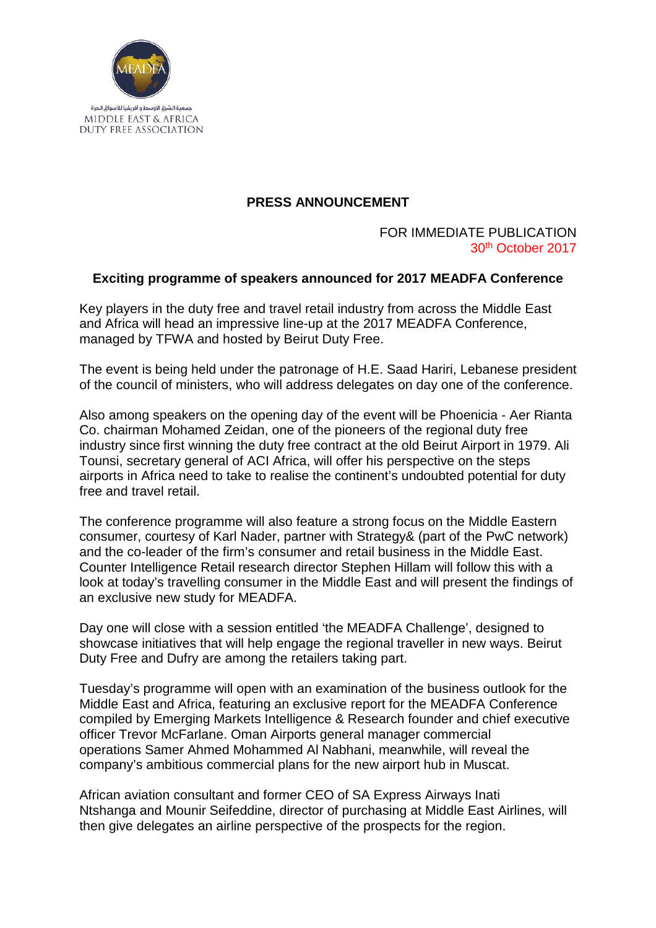

## **PRESS ANNOUNCEMENT**

## FOR IMMEDIATE PUBLICATION 30th October 2017

## **Exciting programme of speakers announced for 2017 MEADFA Conference**

Key players in the duty free and travel retail industry from across the Middle East and Africa will head an impressive line-up at the 2017 MEADFA Conference, managed by TFWA and hosted by Beirut Duty Free.

The event is being held under the patronage of H.E. Saad Hariri, Lebanese president of the council of ministers, who will address delegates on day one of the conference.

Also among speakers on the opening day of the event will be Phoenicia - Aer Rianta Co. chairman Mohamed Zeidan, one of the pioneers of the regional duty free industry since first winning the duty free contract at the old Beirut Airport in 1979. Ali Tounsi, secretary general of ACI Africa, will offer his perspective on the steps airports in Africa need to take to realise the continent's undoubted potential for duty free and travel retail.

The conference programme will also feature a strong focus on the Middle Eastern consumer, courtesy of Karl Nader, partner with Strategy& (part of the PwC network) and the co-leader of the firm's consumer and retail business in the Middle East. Counter Intelligence Retail research director Stephen Hillam will follow this with a look at today's travelling consumer in the Middle East and will present the findings of an exclusive new study for MEADFA.

Day one will close with a session entitled 'the MEADFA Challenge', designed to showcase initiatives that will help engage the regional traveller in new ways. Beirut Duty Free and Dufry are among the retailers taking part.

Tuesday's programme will open with an examination of the business outlook for the Middle East and Africa, featuring an exclusive report for the MEADFA Conference compiled by Emerging Markets Intelligence & Research founder and chief executive officer Trevor McFarlane. Oman Airports general manager commercial operations Samer Ahmed Mohammed Al Nabhani, meanwhile, will reveal the company's ambitious commercial plans for the new airport hub in Muscat.

African aviation consultant and former CEO of SA Express Airways Inati Ntshanga and Mounir Seifeddine, director of purchasing at Middle East Airlines, will then give delegates an airline perspective of the prospects for the region.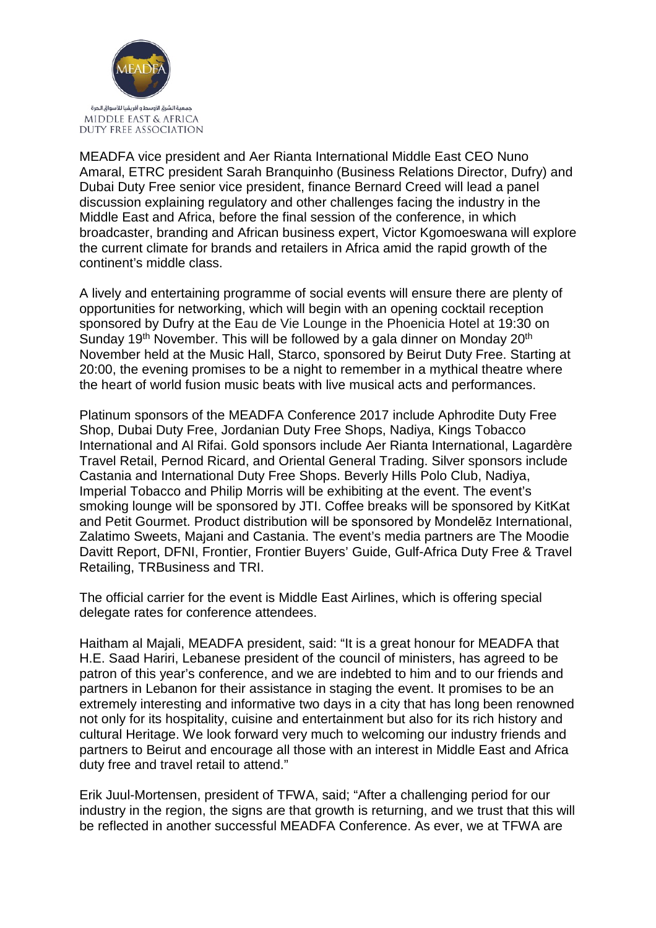

MEADFA vice president and Aer Rianta International Middle East CEO Nuno Amaral, ETRC president Sarah Branquinho (Business Relations Director, Dufry) and Dubai Duty Free senior vice president, finance Bernard Creed will lead a panel discussion explaining regulatory and other challenges facing the industry in the Middle East and Africa, before the final session of the conference, in which broadcaster, branding and African business expert, Victor Kgomoeswana will explore the current climate for brands and retailers in Africa amid the rapid growth of the continent's middle class.

A lively and entertaining programme of social events will ensure there are plenty of opportunities for networking, which will begin with an opening cocktail reception sponsored by Dufry at the Eau de Vie Lounge in the Phoenicia Hotel at 19:30 on Sunday 19<sup>th</sup> November. This will be followed by a gala dinner on Monday 20<sup>th</sup> November held at the Music Hall, Starco, sponsored by Beirut Duty Free. Starting at 20:00, the evening promises to be a night to remember in a mythical theatre where the heart of world fusion music beats with live musical acts and performances.

Platinum sponsors of the MEADFA Conference 2017 include Aphrodite Duty Free Shop, Dubai Duty Free, Jordanian Duty Free Shops, Nadiya, Kings Tobacco International and Al Rifai. Gold sponsors include Aer Rianta International, Lagardère Travel Retail, Pernod Ricard, and Oriental General Trading. Silver sponsors include Castania and International Duty Free Shops. Beverly Hills Polo Club, Nadiya, Imperial Tobacco and Philip Morris will be exhibiting at the event. The event's smoking lounge will be sponsored by JTI. Coffee breaks will be sponsored by KitKat and Petit Gourmet. Product distribution will be sponsored by Mondelēz International, Zalatimo Sweets, Majani and Castania. The event's media partners are The Moodie Davitt Report, DFNI, Frontier, Frontier Buyers' Guide, Gulf-Africa Duty Free & Travel Retailing, TRBusiness and TRI.

The official carrier for the event is Middle East Airlines, which is offering special delegate rates for conference attendees.

Haitham al Majali, MEADFA president, said: "It is a great honour for MEADFA that H.E. Saad Hariri, Lebanese president of the council of ministers, has agreed to be patron of this year's conference, and we are indebted to him and to our friends and partners in Lebanon for their assistance in staging the event. It promises to be an extremely interesting and informative two days in a city that has long been renowned not only for its hospitality, cuisine and entertainment but also for its rich history and cultural Heritage. We look forward very much to welcoming our industry friends and partners to Beirut and encourage all those with an interest in Middle East and Africa duty free and travel retail to attend."

Erik Juul-Mortensen, president of TFWA, said; "After a challenging period for our industry in the region, the signs are that growth is returning, and we trust that this will be reflected in another successful MEADFA Conference. As ever, we at TFWA are